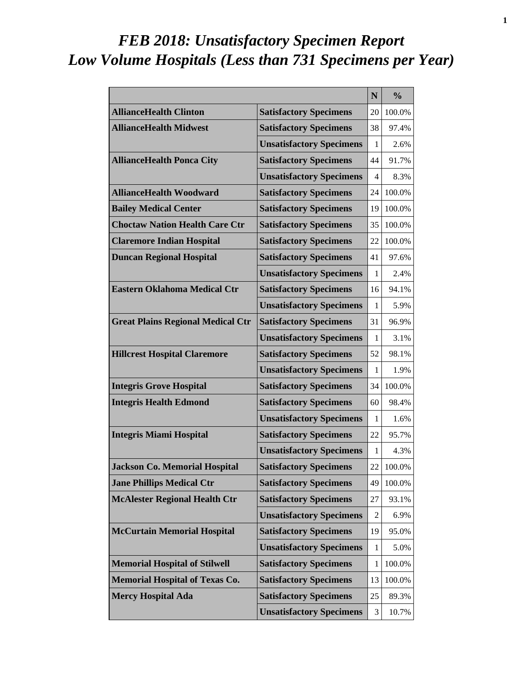# *FEB 2018: Unsatisfactory Specimen Report Low Volume Hospitals (Less than 731 Specimens per Year)*

|                                          |                                 | N  | $\frac{0}{0}$ |
|------------------------------------------|---------------------------------|----|---------------|
| <b>AllianceHealth Clinton</b>            | <b>Satisfactory Specimens</b>   | 20 | 100.0%        |
| <b>AllianceHealth Midwest</b>            | <b>Satisfactory Specimens</b>   | 38 | 97.4%         |
|                                          | <b>Unsatisfactory Specimens</b> | 1  | 2.6%          |
| <b>AllianceHealth Ponca City</b>         | <b>Satisfactory Specimens</b>   | 44 | 91.7%         |
|                                          | <b>Unsatisfactory Specimens</b> | 4  | 8.3%          |
| <b>AllianceHealth Woodward</b>           | <b>Satisfactory Specimens</b>   | 24 | 100.0%        |
| <b>Bailey Medical Center</b>             | <b>Satisfactory Specimens</b>   | 19 | 100.0%        |
| <b>Choctaw Nation Health Care Ctr</b>    | <b>Satisfactory Specimens</b>   | 35 | 100.0%        |
| <b>Claremore Indian Hospital</b>         | <b>Satisfactory Specimens</b>   | 22 | 100.0%        |
| <b>Duncan Regional Hospital</b>          | <b>Satisfactory Specimens</b>   | 41 | 97.6%         |
|                                          | <b>Unsatisfactory Specimens</b> | 1  | 2.4%          |
| <b>Eastern Oklahoma Medical Ctr</b>      | <b>Satisfactory Specimens</b>   | 16 | 94.1%         |
|                                          | <b>Unsatisfactory Specimens</b> | 1  | 5.9%          |
| <b>Great Plains Regional Medical Ctr</b> | <b>Satisfactory Specimens</b>   | 31 | 96.9%         |
|                                          | <b>Unsatisfactory Specimens</b> | 1  | 3.1%          |
| <b>Hillcrest Hospital Claremore</b>      | <b>Satisfactory Specimens</b>   | 52 | 98.1%         |
|                                          | <b>Unsatisfactory Specimens</b> | 1  | 1.9%          |
| <b>Integris Grove Hospital</b>           | <b>Satisfactory Specimens</b>   | 34 | 100.0%        |
| <b>Integris Health Edmond</b>            | <b>Satisfactory Specimens</b>   | 60 | 98.4%         |
|                                          | <b>Unsatisfactory Specimens</b> | 1  | 1.6%          |
| <b>Integris Miami Hospital</b>           | <b>Satisfactory Specimens</b>   | 22 | 95.7%         |
|                                          | <b>Unsatisfactory Specimens</b> | 1  | 4.3%          |
| <b>Jackson Co. Memorial Hospital</b>     | <b>Satisfactory Specimens</b>   | 22 | 100.0%        |
| <b>Jane Phillips Medical Ctr</b>         | <b>Satisfactory Specimens</b>   | 49 | 100.0%        |
| <b>McAlester Regional Health Ctr</b>     | <b>Satisfactory Specimens</b>   | 27 | 93.1%         |
|                                          | <b>Unsatisfactory Specimens</b> | 2  | 6.9%          |
| <b>McCurtain Memorial Hospital</b>       | <b>Satisfactory Specimens</b>   | 19 | 95.0%         |
|                                          | <b>Unsatisfactory Specimens</b> | 1  | 5.0%          |
| <b>Memorial Hospital of Stilwell</b>     | <b>Satisfactory Specimens</b>   | 1  | 100.0%        |
| <b>Memorial Hospital of Texas Co.</b>    | <b>Satisfactory Specimens</b>   | 13 | 100.0%        |
| <b>Mercy Hospital Ada</b>                | <b>Satisfactory Specimens</b>   | 25 | 89.3%         |
|                                          | <b>Unsatisfactory Specimens</b> | 3  | 10.7%         |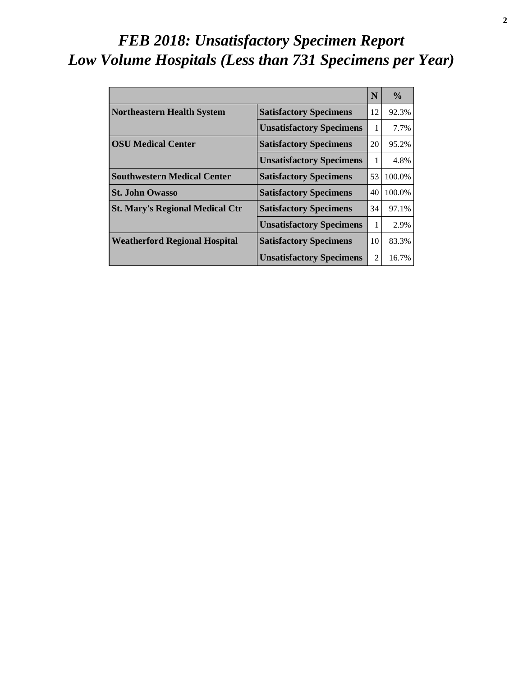# *FEB 2018: Unsatisfactory Specimen Report Low Volume Hospitals (Less than 731 Specimens per Year)*

|                                        |                                 | N  | $\frac{0}{0}$ |
|----------------------------------------|---------------------------------|----|---------------|
| <b>Northeastern Health System</b>      | <b>Satisfactory Specimens</b>   | 12 | 92.3%         |
|                                        | <b>Unsatisfactory Specimens</b> | 1  | 7.7%          |
| <b>OSU Medical Center</b>              | <b>Satisfactory Specimens</b>   | 20 | 95.2%         |
|                                        | <b>Unsatisfactory Specimens</b> | 1  | 4.8%          |
| <b>Southwestern Medical Center</b>     | <b>Satisfactory Specimens</b>   | 53 | 100.0%        |
| <b>St. John Owasso</b>                 | <b>Satisfactory Specimens</b>   | 40 | 100.0%        |
| <b>St. Mary's Regional Medical Ctr</b> | <b>Satisfactory Specimens</b>   | 34 | 97.1%         |
|                                        | <b>Unsatisfactory Specimens</b> | 1  | 2.9%          |
| <b>Weatherford Regional Hospital</b>   | <b>Satisfactory Specimens</b>   | 10 | 83.3%         |
|                                        | <b>Unsatisfactory Specimens</b> | 2  | 16.7%         |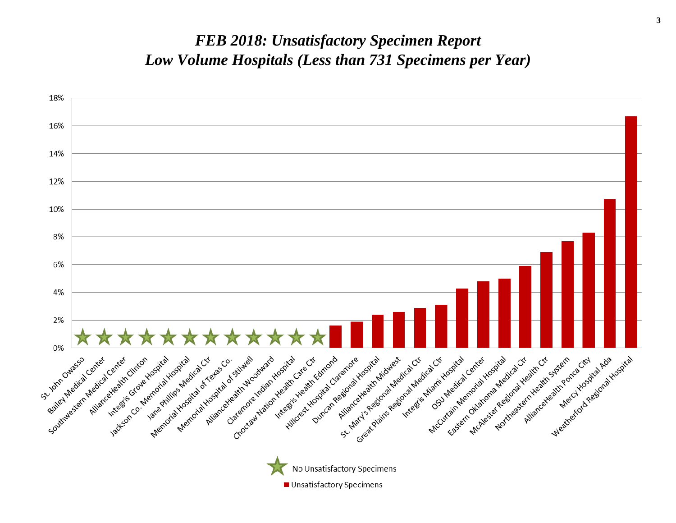#### *FEB 2018: Unsatisfactory Specimen Report Low Volume Hospitals (Less than 731 Specimens per Year)*

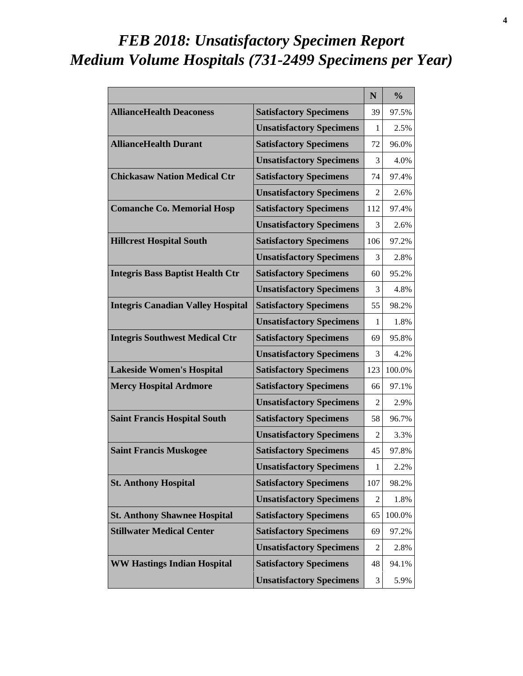# *FEB 2018: Unsatisfactory Specimen Report Medium Volume Hospitals (731-2499 Specimens per Year)*

|                                          |                                 | N   | $\frac{0}{0}$ |
|------------------------------------------|---------------------------------|-----|---------------|
| <b>AllianceHealth Deaconess</b>          | <b>Satisfactory Specimens</b>   | 39  | 97.5%         |
|                                          | <b>Unsatisfactory Specimens</b> | 1   | 2.5%          |
| <b>AllianceHealth Durant</b>             | <b>Satisfactory Specimens</b>   | 72  | 96.0%         |
|                                          | <b>Unsatisfactory Specimens</b> | 3   | 4.0%          |
| <b>Chickasaw Nation Medical Ctr</b>      | <b>Satisfactory Specimens</b>   | 74  | 97.4%         |
|                                          | <b>Unsatisfactory Specimens</b> | 2   | 2.6%          |
| <b>Comanche Co. Memorial Hosp</b>        | <b>Satisfactory Specimens</b>   | 112 | 97.4%         |
|                                          | <b>Unsatisfactory Specimens</b> | 3   | 2.6%          |
| <b>Hillcrest Hospital South</b>          | <b>Satisfactory Specimens</b>   | 106 | 97.2%         |
|                                          | <b>Unsatisfactory Specimens</b> | 3   | 2.8%          |
| <b>Integris Bass Baptist Health Ctr</b>  | <b>Satisfactory Specimens</b>   | 60  | 95.2%         |
|                                          | <b>Unsatisfactory Specimens</b> | 3   | 4.8%          |
| <b>Integris Canadian Valley Hospital</b> | <b>Satisfactory Specimens</b>   | 55  | 98.2%         |
|                                          | <b>Unsatisfactory Specimens</b> | 1   | 1.8%          |
| <b>Integris Southwest Medical Ctr</b>    | <b>Satisfactory Specimens</b>   | 69  | 95.8%         |
|                                          | <b>Unsatisfactory Specimens</b> | 3   | 4.2%          |
| <b>Lakeside Women's Hospital</b>         | <b>Satisfactory Specimens</b>   | 123 | 100.0%        |
| <b>Mercy Hospital Ardmore</b>            | <b>Satisfactory Specimens</b>   | 66  | 97.1%         |
|                                          | <b>Unsatisfactory Specimens</b> | 2   | 2.9%          |
| <b>Saint Francis Hospital South</b>      | <b>Satisfactory Specimens</b>   | 58  | 96.7%         |
|                                          | <b>Unsatisfactory Specimens</b> | 2   | 3.3%          |
| <b>Saint Francis Muskogee</b>            | <b>Satisfactory Specimens</b>   | 45  | 97.8%         |
|                                          | <b>Unsatisfactory Specimens</b> | 1   | 2.2%          |
| <b>St. Anthony Hospital</b>              | <b>Satisfactory Specimens</b>   | 107 | 98.2%         |
|                                          | <b>Unsatisfactory Specimens</b> | 2   | 1.8%          |
| <b>St. Anthony Shawnee Hospital</b>      | <b>Satisfactory Specimens</b>   | 65  | 100.0%        |
| <b>Stillwater Medical Center</b>         | <b>Satisfactory Specimens</b>   | 69  | 97.2%         |
|                                          | <b>Unsatisfactory Specimens</b> | 2   | 2.8%          |
| <b>WW Hastings Indian Hospital</b>       | <b>Satisfactory Specimens</b>   | 48  | 94.1%         |
|                                          | <b>Unsatisfactory Specimens</b> | 3   | 5.9%          |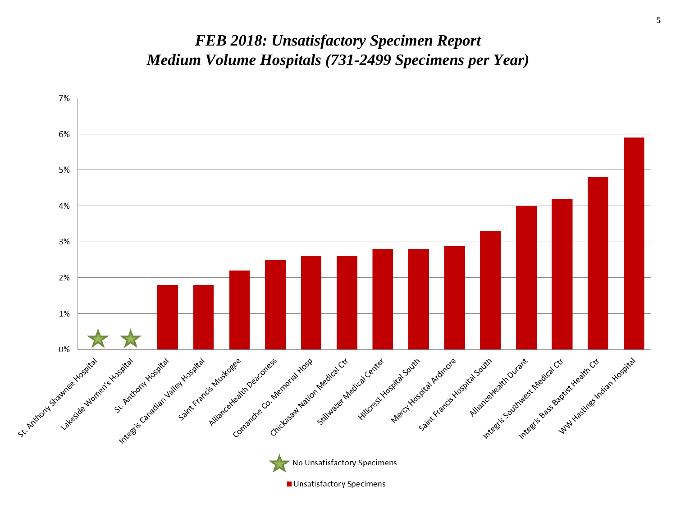#### *FEB 2018: Unsatisfactory Specimen Report Medium Volume Hospitals (731-2499 Specimens per Year)*

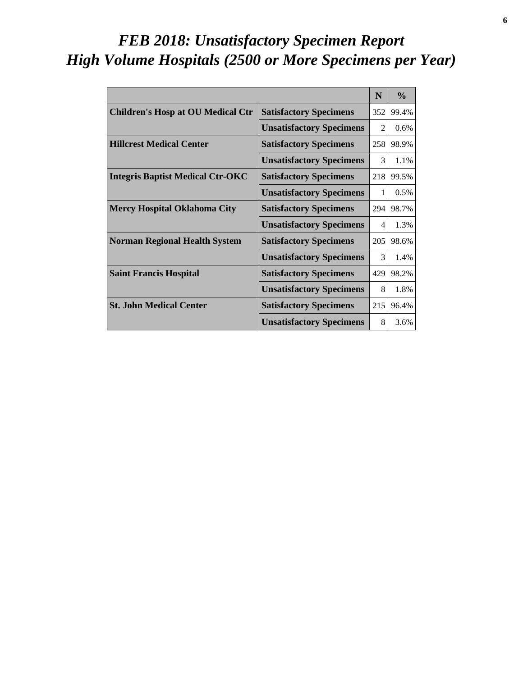# *FEB 2018: Unsatisfactory Specimen Report High Volume Hospitals (2500 or More Specimens per Year)*

|                                          |                                 | N                           | $\frac{6}{6}$ |
|------------------------------------------|---------------------------------|-----------------------------|---------------|
| <b>Children's Hosp at OU Medical Ctr</b> | <b>Satisfactory Specimens</b>   | 352                         | 99.4%         |
|                                          | <b>Unsatisfactory Specimens</b> | $\mathcal{D}_{\mathcal{L}}$ | 0.6%          |
| <b>Hillcrest Medical Center</b>          | <b>Satisfactory Specimens</b>   | 258                         | 98.9%         |
|                                          | <b>Unsatisfactory Specimens</b> | 3                           | 1.1%          |
| <b>Integris Baptist Medical Ctr-OKC</b>  | <b>Satisfactory Specimens</b>   | 218                         | 99.5%         |
|                                          | <b>Unsatisfactory Specimens</b> | 1                           | 0.5%          |
| <b>Mercy Hospital Oklahoma City</b>      | <b>Satisfactory Specimens</b>   | 294                         | 98.7%         |
|                                          | <b>Unsatisfactory Specimens</b> | $\overline{4}$              | 1.3%          |
| <b>Norman Regional Health System</b>     | <b>Satisfactory Specimens</b>   | 205                         | 98.6%         |
|                                          | <b>Unsatisfactory Specimens</b> | 3                           | 1.4%          |
| <b>Saint Francis Hospital</b>            | <b>Satisfactory Specimens</b>   | 429                         | 98.2%         |
|                                          | <b>Unsatisfactory Specimens</b> | 8                           | 1.8%          |
| <b>St. John Medical Center</b>           | <b>Satisfactory Specimens</b>   | 215                         | 96.4%         |
|                                          | <b>Unsatisfactory Specimens</b> | 8                           | 3.6%          |